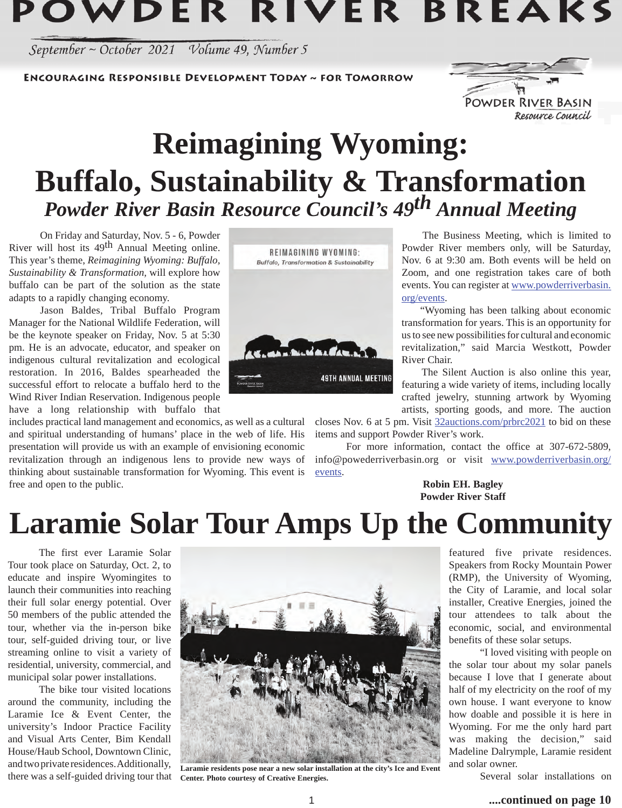# POWDER RIVER BREAKS

September ~ October 2021 Volume 49, Number 5

**ENCOURAGING RESPONSIBLE DEVELOPMENT TODAY ~ FOR TOMORROW** 



**Reimagining Wyoming: Buffalo, Sustainability & Transformation** *Powder River Basin Resource Council's 49th Annual Meeting*

On Friday and Saturday, Nov. 5 - 6, Powder River will host its  $49<sup>th</sup>$  Annual Meeting online. This year's theme, *Reimagining Wyoming: Buffalo, Sustainability & Transformation,* will explore how buffalo can be part of the solution as the state adapts to a rapidly changing economy.

 Jason Baldes, Tribal Buffalo Program Manager for the National Wildlife Federation, will be the keynote speaker on Friday, Nov. 5 at 5:30 pm. He is an advocate, educator, and speaker on indigenous cultural revitalization and ecological restoration. In 2016, Baldes spearheaded the successful effort to relocate a buffalo herd to the Wind River Indian Reservation. Indigenous people have a long relationship with buffalo that

includes practical land management and economics, as well as a cultural and spiritual understanding of humans' place in the web of life. His presentation will provide us with an example of envisioning economic revitalization through an indigenous lens to provide new ways of thinking about sustainable transformation for Wyoming. This event is free and open to the public.



 The Business Meeting, which is limited to Powder River members only, will be Saturday, Nov. 6 at 9:30 am. Both events will be held on Zoom, and one registration takes care of both events. You can register at www.powderriverbasin. org/events.

 "Wyoming has been talking about economic transformation for years. This is an opportunity for us to see new possibilities for cultural and economic revitalization," said Marcia Westkott, Powder River Chair.

 The Silent Auction is also online this year, featuring a wide variety of items, including locally crafted jewelry, stunning artwork by Wyoming artists, sporting goods, and more. The auction

closes Nov. 6 at 5 pm. Visit 32auctions.com/prbrc2021 to bid on these items and support Powder River's work.

 For more information, contact the office at 307-672-5809, info@powederriverbasin.org or visit www.powderriverbasin.org/ events.

> **Robin EH. Bagley Powder River Staff**

## **Laramie Solar Tour Amps Up the Community**

The first ever Laramie Solar Tour took place on Saturday, Oct. 2, to educate and inspire Wyomingites to launch their communities into reaching their full solar energy potential. Over 50 members of the public attended the tour, whether via the in-person bike tour, self-guided driving tour, or live streaming online to visit a variety of residential, university, commercial, and municipal solar power installations.

The bike tour visited locations around the community, including the Laramie Ice & Event Center, the university's Indoor Practice Facility and Visual Arts Center, Bim Kendall House/Haub School, Downtown Clinic, and two private residences. Additionally, there was a self-guided driving tour that



**Laramie residents pose near a new solar installation at the city's Ice and Event Center. Photo courtesy of Creative Energies.** 

featured five private residences. Speakers from Rocky Mountain Power (RMP), the University of Wyoming, the City of Laramie, and local solar installer, Creative Energies, joined the tour attendees to talk about the economic, social, and environmental benefits of these solar setups.

"I loved visiting with people on the solar tour about my solar panels because I love that I generate about half of my electricity on the roof of my own house. I want everyone to know how doable and possible it is here in Wyoming. For me the only hard part was making the decision," said Madeline Dalrymple, Laramie resident and solar owner.

Several solar installations on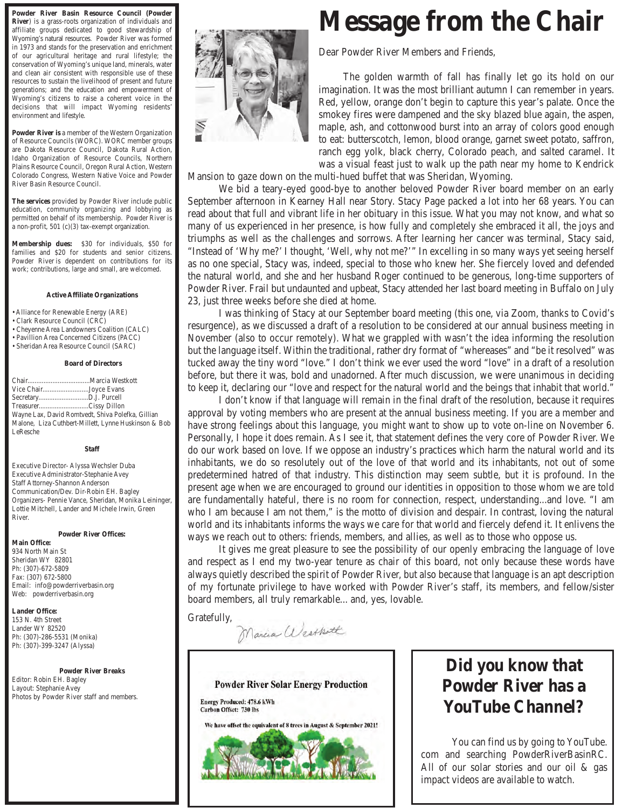**Powder River Basin Resource Council (Powder River**) is a grass-roots organization of individuals and affiliate groups dedicated to good stewardship of Wyoming's natural resources. Powder River was formed in 1973 and stands for the preservation and enrichment of our agricultural heritage and rural lifestyle; the conservation of Wyoming's unique land, minerals, water and clean air consistent with responsible use of these resources to sustain the livelihood of present and future generations; and the education and empowerment of Wyoming's citizens to raise a coherent voice in the decisions that will impact Wyoming residents' environment and lifestyle.

**Powder River is** a member of the Western Organization of Resource Councils (WORC). WORC member groups are Dakota Resource Council, Dakota Rural Action, Idaho Organization of Resource Councils, Northern Plains Resource Council, Oregon Rural Action, Western Colorado Congress, Western Native Voice and Powder River Basin Resource Council.

**The services** provided by Powder River include public education, community organizing and lobbying as permitted on behalf of its membership. Powder River is a non-profit, 501 (c)(3) tax-exempt organization.

**Membership dues:** \$30 for individuals, \$50 for families and \$20 for students and senior citizens. Powder River is dependent on contributions for its work; contributions, large and small, are welcomed.

#### **Active Affiliate Organizations**

• Alliance for Renewable Energy (ARE)

- Clark Resource Council (CRC)
- Cheyenne Area Landowners Coalition (CALC)
- Pavillion Area Concerned Citizens (PACC)
- Sheridan Area Resource Council (SARC)

 **Board of Directors**

|                                                      | Vice ChairJoyce Evans |  |  |  |
|------------------------------------------------------|-----------------------|--|--|--|
|                                                      |                       |  |  |  |
|                                                      | TreasurerCissy Dillon |  |  |  |
| Wayne Lax, David Romtvedt, Shiva Polefka, Gillian    |                       |  |  |  |
| Malone, Liza Cuthbert-Millett, Lynne Huskinson & Bob |                       |  |  |  |
| LeResche                                             |                       |  |  |  |

**Staff** 

Executive Director- Alyssa Wechsler Duba Executive Administrator-Stephanie Avey Staff Attorney-Shannon Anderson Communication/Dev. Dir-Robin EH. Bagley Organizers- Pennie Vance, Sheridan, Monika Leininger, Lottie Mitchell, Lander and Michele Irwin, Green River.

#### **Powder River Offices:**

**Main Office:** 934 North Main St Sheridan WY 82801 Ph: (307)-672-5809 Fax: (307) 672-5800 Email: info@powderriverbasin.org Web: powderriverbasin.org

**Lander Office:** 153 N. 4th Street Lander WY 82520 Ph: (307)-286-5531 (Monika) Ph: (307)-399-3247 (Alyssa)

**Powder River Breaks** Editor: Robin EH. Bagley Layout: Stephanie Avey Photos by Powder River staff and members.



### **Message from the Chair**

Dear Powder River Members and Friends,

 The golden warmth of fall has finally let go its hold on our imagination. It was the most brilliant autumn I can remember in years. Red, yellow, orange don't begin to capture this year's palate. Once the smokey fires were dampened and the sky blazed blue again, the aspen, maple, ash, and cottonwood burst into an array of colors good enough to eat: butterscotch, lemon, blood orange, garnet sweet potato, saffron, ranch egg yolk, black cherry, Colorado peach, and salted caramel. It was a visual feast just to walk up the path near my home to Kendrick

Mansion to gaze down on the multi-hued buffet that was Sheridan, Wyoming.

 We bid a teary-eyed good-bye to another beloved Powder River board member on an early September afternoon in Kearney Hall near Story. Stacy Page packed a lot into her 68 years. You can read about that full and vibrant life in her obituary in this issue. What you may not know, and what so many of us experienced in her presence, is how fully and completely she embraced it all, the joys and triumphs as well as the challenges and sorrows. After learning her cancer was terminal, Stacy said, "Instead of 'Why me?' I thought, 'Well, why not me?'" In excelling in so many ways yet seeing herself as no one special, Stacy was, indeed, special to those who knew her. She fiercely loved and defended the natural world, and she and her husband Roger continued to be generous, long-time supporters of Powder River. Frail but undaunted and upbeat, Stacy attended her last board meeting in Buffalo on July 23, just three weeks before she died at home.

 I was thinking of Stacy at our September board meeting (this one, via Zoom, thanks to Covid's resurgence), as we discussed a draft of a resolution to be considered at our annual business meeting in November (also to occur remotely). What we grappled with wasn't the idea informing the resolution but the language itself. Within the traditional, rather dry format of "whereases" and "be it resolved" was tucked away the tiny word "love." I don't think we ever used the word "love" in a draft of a resolution before, but there it was, bold and unadorned. After much discussion, we were unanimous in deciding to keep it, declaring our "love and respect for the natural world and the beings that inhabit that world."

I don't know if that language will remain in the final draft of the resolution, because it requires approval by voting members who are present at the annual business meeting. If you are a member and have strong feelings about this language, you might want to show up to vote on-line on November 6. Personally, I hope it does remain. As I see it, that statement defines the very core of Powder River. We do our work based on love. If we oppose an industry's practices which harm the natural world and its inhabitants, we do so resolutely out of the love of that world and its inhabitants, not out of some predetermined hatred of that industry. This distinction may seem subtle, but it is profound. In the present age when we are encouraged to ground our identities in opposition to those whom we are told are fundamentally hateful, there is no room for connection, respect, understanding...and love. "I am who I am because I am not them," is the motto of division and despair. In contrast, loving the natural world and its inhabitants informs the ways we care for that world and fiercely defend it. It enlivens the ways we reach out to others: friends, members, and allies, as well as to those who oppose us.

 It gives me great pleasure to see the possibility of our openly embracing the language of love and respect as I end my two-year tenure as chair of this board, not only because these words have always quietly described the spirit of Powder River, but also because that language is an apt description of my fortunate privilege to have worked with Powder River's staff, its members, and fellow/sister board members, all truly remarkable... and, yes, lovable.

Gratefully,

Marcia Westhoth



**Energy Produced: 478.6 kWh Carbon Offset: 730 lbs** 

We have offset the equivalent of 8 trees in August & September 2021!



### **Did you know that Powder River has a YouTube Channel?**

You can find us by going to YouTube. com and searching PowderRiverBasinRC. All of our solar stories and our oil & gas impact videos are available to watch.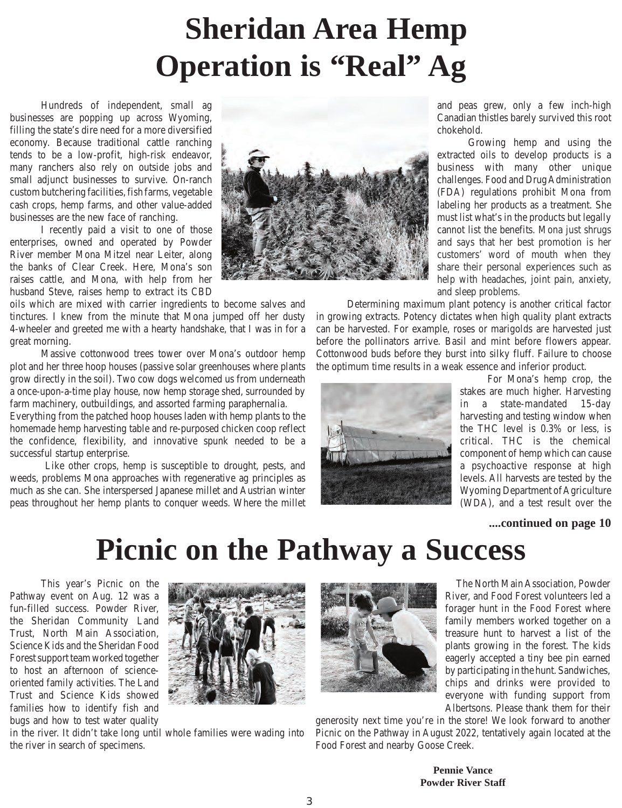# **Sheridan Area Hemp Operation is "Real" Ag**

 Hundreds of independent, small ag businesses are popping up across Wyoming, filling the state's dire need for a more diversified economy. Because traditional cattle ranching tends to be a low-profit, high-risk endeavor, many ranchers also rely on outside jobs and small adjunct businesses to survive. On-ranch custom butchering facilities, fish farms, vegetable cash crops, hemp farms, and other value-added businesses are the new face of ranching.

 I recently paid a visit to one of those enterprises, owned and operated by Powder River member Mona Mitzel near Leiter, along the banks of Clear Creek. Here, Mona's son raises cattle, and Mona, with help from her husband Steve, raises hemp to extract its CBD

oils which are mixed with carrier ingredients to become salves and tinctures. I knew from the minute that Mona jumped off her dusty 4-wheeler and greeted me with a hearty handshake, that I was in for a great morning.

 Massive cottonwood trees tower over Mona's outdoor hemp plot and her three hoop houses (passive solar greenhouses where plants grow directly in the soil). Two cow dogs welcomed us from underneath a once-upon-a-time play house, now hemp storage shed, surrounded by farm machinery, outbuildings, and assorted farming paraphernalia.

Everything from the patched hoop houses laden with hemp plants to the homemade hemp harvesting table and re-purposed chicken coop reflect the confidence, flexibility, and innovative spunk needed to be a successful startup enterprise.

 Like other crops, hemp is susceptible to drought, pests, and weeds, problems Mona approaches with regenerative ag principles as much as she can. She interspersed Japanese millet and Austrian winter peas throughout her hemp plants to conquer weeds. Where the millet



and peas grew, only a few inch-high Canadian thistles barely survived this root chokehold.

Growing hemp and using the extracted oils to develop products is a business with many other unique challenges. Food and Drug Administration (FDA) regulations prohibit Mona from labeling her products as a treatment. She must list what's in the products but legally cannot list the benefits. Mona just shrugs and says that her best promotion is her customers' word of mouth when they share their personal experiences such as help with headaches, joint pain, anxiety, and sleep problems.

 Determining maximum plant potency is another critical factor in growing extracts. Potency dictates when high quality plant extracts can be harvested. For example, roses or marigolds are harvested just before the pollinators arrive. Basil and mint before flowers appear. Cottonwood buds before they burst into silky fluff. Failure to choose the optimum time results in a weak essence and inferior product.



 For Mona's hemp crop, the stakes are much higher. Harvesting in a state-mandated 15-day harvesting and testing window when the THC level is 0.3% or less, is critical. THC is the chemical component of hemp which can cause a psychoactive response at high levels. All harvests are tested by the Wyoming Department of Agriculture (WDA), and a test result over the

**....continued on page 10**

### **Picnic on the Pathway a Success**

 This year's Picnic on the Pathway event on Aug. 12 was a fun-filled success. Powder River, the Sheridan Community Land Trust, North Main Association, Science Kids and the Sheridan Food Forest support team worked together to host an afternoon of scienceoriented family activities. The Land Trust and Science Kids showed families how to identify fish and bugs and how to test water quality







 The North Main Association, Powder River, and Food Forest volunteers led a forager hunt in the Food Forest where family members worked together on a treasure hunt to harvest a list of the plants growing in the forest. The kids eagerly accepted a tiny bee pin earned by participating in the hunt. Sandwiches, chips and drinks were provided to everyone with funding support from Albertsons. Please thank them for their

generosity next time you're in the store! We look forward to another Picnic on the Pathway in August 2022, tentatively again located at the Food Forest and nearby Goose Creek.

> **Pennie Vance Powder River Staff**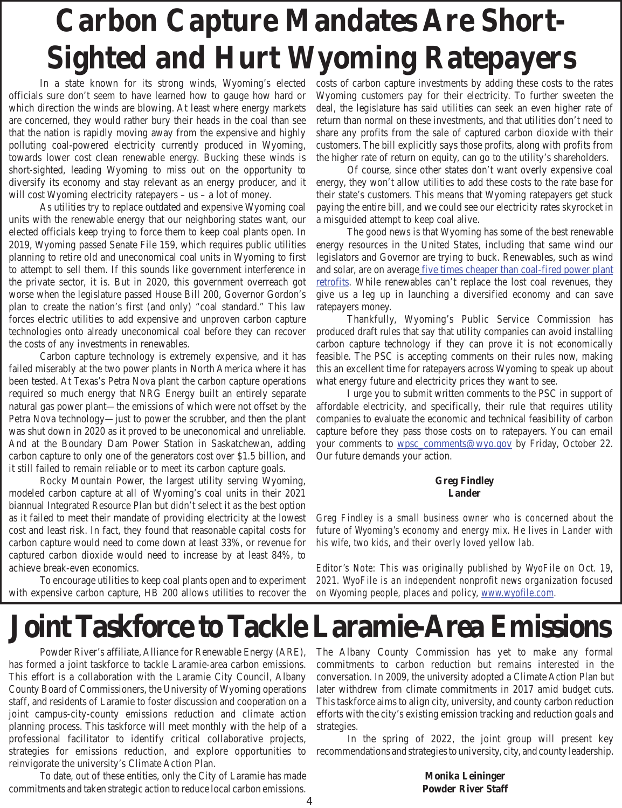# **Carbon Capture Mandates Are Short-Sighted and Hurt Wyoming Ratepayers**

 In a state known for its strong winds, Wyoming's elected officials sure don't seem to have learned how to gauge how hard or which direction the winds are blowing. At least where energy markets are concerned, they would rather bury their heads in the coal than see that the nation is rapidly moving away from the expensive and highly polluting coal-powered electricity currently produced in Wyoming, towards lower cost clean renewable energy. Bucking these winds is short-sighted, leading Wyoming to miss out on the opportunity to diversify its economy and stay relevant as an energy producer, and it will cost Wyoming electricity ratepayers – us – a lot of money.

 As utilities try to replace outdated and expensive Wyoming coal units with the renewable energy that our neighboring states want, our elected officials keep trying to force them to keep coal plants open. In 2019, Wyoming passed Senate File 159, which requires public utilities planning to retire old and uneconomical coal units in Wyoming to first to attempt to sell them. If this sounds like government interference in the private sector, it is. But in 2020, this government overreach got worse when the legislature passed House Bill 200, Governor Gordon's plan to create the nation's first (and only) "coal standard." This law forces electric utilities to add expensive and unproven carbon capture technologies onto already uneconomical coal before they can recover the costs of any investments in renewables.

 Carbon capture technology is extremely expensive, and it has failed miserably at the two power plants in North America where it has been tested. At Texas's Petra Nova plant the carbon capture operations required so much energy that NRG Energy built an entirely separate natural gas power plant—the emissions of which were not offset by the Petra Nova technology—just to power the scrubber, and then the plant was shut down in 2020 as it proved to be uneconomical and unreliable. And at the Boundary Dam Power Station in Saskatchewan, adding carbon capture to only one of the generators cost over \$1.5 billion, and it still failed to remain reliable or to meet its carbon capture goals.

 Rocky Mountain Power, the largest utility serving Wyoming, modeled carbon capture at all of Wyoming's coal units in their 2021 biannual Integrated Resource Plan but didn't select it as the best option as it failed to meet their mandate of providing electricity at the lowest cost and least risk. In fact, they found that reasonable capital costs for carbon capture would need to come down at least 33%, or revenue for captured carbon dioxide would need to increase by at least 84%, to achieve break-even economics.

 To encourage utilities to keep coal plants open and to experiment with expensive carbon capture, HB 200 allows utilities to recover the costs of carbon capture investments by adding these costs to the rates Wyoming customers pay for their electricity. To further sweeten the deal, the legislature has said utilities can seek an even higher rate of return than normal on these investments, and that utilities don't need to share any profits from the sale of captured carbon dioxide with their customers. The bill explicitly says those profits, along with profits from the higher rate of return on equity, can go to the utility's shareholders.

 Of course, since other states don't want overly expensive coal energy, they won't allow utilities to add these costs to the rate base for their state's customers. This means that Wyoming ratepayers get stuck paying the entire bill, and we could see our electricity rates skyrocket in a misguided attempt to keep coal alive.

 The good news is that Wyoming has some of the best renewable energy resources in the United States, including that same wind our legislators and Governor are trying to buck. Renewables, such as wind and solar, are on average five times cheaper than coal-fired power plant retrofits. While renewables can't replace the lost coal revenues, they give us a leg up in launching a diversified economy and can save ratepayers money.

 Thankfully, Wyoming's Public Service Commission has produced draft rules that say that utility companies can avoid installing carbon capture technology if they can prove it is not economically feasible. The PSC is accepting comments on their rules now, making this an excellent time for ratepayers across Wyoming to speak up about what energy future and electricity prices they want to see.

 I urge you to submit written comments to the PSC in support of affordable electricity, and specifically, their rule that requires utility companies to evaluate the economic and technical feasibility of carbon capture before they pass those costs on to ratepayers. You can email your comments to wpsc\_comments@wyo.gov by Friday, October 22. Our future demands your action.

#### **Greg Findley Lander**

*Greg Findley is a small business owner who is concerned about the future of Wyoming's economy and energy mix. He lives in Lander with function function function function future of with the lives in Lander with the lives in Lander with an interview lander with the lives in Lander with*  $\frac{1}{2}$ *his wife, two kids, and their overly loved yellow lab.* 

*Editor's Note: This was originally published by WyoFile on Oct. 19, 2021. WyoFile is an independent nonprofit news organization focused on Wyoming people, places and policy, www.wyofile.com.* 

### **Joint Taskforce to Tackle Laramie-Area Emissions**

Powder River's affiliate, Alliance for Renewable Energy (ARE), has formed a joint taskforce to tackle Laramie-area carbon emissions. This effort is a collaboration with the Laramie City Council, Albany County Board of Commissioners, the University of Wyoming operations staff, and residents of Laramie to foster discussion and cooperation on a joint campus-city-county emissions reduction and climate action planning process. This taskforce will meet monthly with the help of a professional facilitator to identify critical collaborative projects, strategies for emissions reduction, and explore opportunities to reinvigorate the university's Climate Action Plan.

To date, out of these entities, only the City of Laramie has made commitments and taken strategic action to reduce local carbon emissions.

The Albany County Commission has yet to make any formal commitments to carbon reduction but remains interested in the conversation. In 2009, the university adopted a Climate Action Plan but later withdrew from climate commitments in 2017 amid budget cuts. This taskforce aims to align city, university, and county carbon reduction efforts with the city's existing emission tracking and reduction goals and strategies.

In the spring of 2022, the joint group will present key recommendations and strategies to university, city, and county leadership.

> **Monika Leininger Powder River Staff**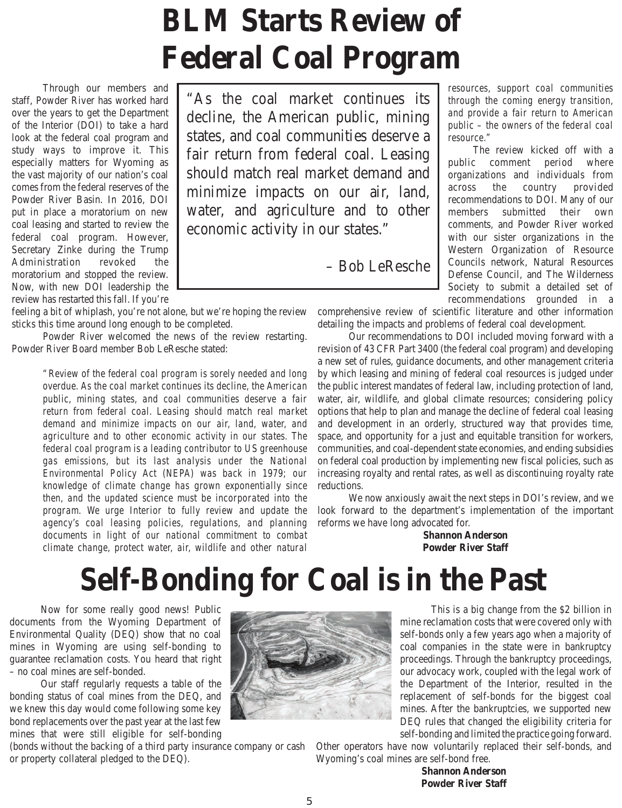# **BLM Starts Review of Federal Coal Program**

Through our members and staff, Powder River has worked hard over the years to get the Department of the Interior (DOI) to take a hard look at the federal coal program and study ways to improve it. This especially matters for Wyoming as the vast majority of our nation's coal comes from the federal reserves of the Powder River Basin. In 2016, DOI put in place a moratorium on new coal leasing and started to review the federal coal program. However, Secretary Zinke during the Trump Administration revoked the moratorium and stopped the review. Now, with new DOI leadership the review has restarted this fall. If you're

feeling a bit of whiplash, you're not alone, but we're hoping the review sticks this time around long enough to be completed.

 Powder River welcomed the news of the review restarting. Powder River Board member Bob LeResche stated:

> *"Review of the federal coal program is sorely needed and long*  public, mining states, and coal communities deserve a fair *return from federal coal. Leasing should match real market demand and minimize impacts on our air, land, water, and agriculture and to other economic activity in our states. The* federal coal program is a leading contributor to US greenhouse gas emissions, but its last analysis under the National Environmental Policy Act (NEPA) was back in 1979; our knowledge of climate change has grown exponentially since *then, and the updated science must be incorporated into the* program. We urge Interior to fully review and update the agency's coal leasing policies, regulations, and planning documents in light of our national commitment to combat documents of our *documents in different to compare the change protect water air wildlife and other natural climate change, protect water, air, wildlife and other natural*

"As the coal market continues its decline, the American public, mining states, and coal communities deserve a fair return from federal coal. Leasing should match real market demand and minimize impacts on our air, land, water, and agriculture and to other economic activity in our states."

– Bob LeResche

*resources, support coal communities the a fair return to American public – the owners of the federal coal resource.*"

The review kicked off with a public comment period where organizations and individuals from across the country provided recommendations to DOI. Many of our members submitted their own comments, and Powder River worked with our sister organizations in the Western Organization of Resource Councils network, Natural Resources Defense Council, and The Wilderness Society to submit a detailed set of recommendations grounded in a

comprehensive review of scientific literature and other information detailing the impacts and problems of federal coal development.

 Our recommendations to DOI included moving forward with a revision of 43 CFR Part 3400 (the federal coal program) and developing a new set of rules, guidance documents, and other management criteria by which leasing and mining of federal coal resources is judged under the public interest mandates of federal law, including protection of land, water, air, wildlife, and global climate resources; considering policy options that help to plan and manage the decline of federal coal leasing and development in an orderly, structured way that provides time, space, and opportunity for a just and equitable transition for workers, communities, and coal-dependent state economies, and ending subsidies on federal coal production by implementing new fiscal policies, such as increasing royalty and rental rates, as well as discontinuing royalty rate reductions.

 We now anxiously await the next steps in DOI's review, and we look forward to the department's implementation of the important reforms we have long advocated for.

> **Shannon Anderson Powder River Staff**

## **Self-Bonding for Coal is in the Past**

 Now for some really good news! Public documents from the Wyoming Department of Environmental Quality (DEQ) show that no coal mines in Wyoming are using self-bonding to guarantee reclamation costs. You heard that right – no coal mines are self-bonded.

 Our staff regularly requests a table of the bonding status of coal mines from the DEQ, and we knew this day would come following some key bond replacements over the past year at the last few mines that were still eligible for self-bonding

(bonds without the backing of a third party insurance company or cash or property collateral pledged to the DEQ).



This is a big change from the \$2 billion in mine reclamation costs that were covered only with self-bonds only a few years ago when a majority of coal companies in the state were in bankruptcy proceedings. Through the bankruptcy proceedings, our advocacy work, coupled with the legal work of the Department of the Interior, resulted in the replacement of self-bonds for the biggest coal mines. After the bankruptcies, we supported new DEQ rules that changed the eligibility criteria for self-bonding and limited the practice going forward.

Other operators have now voluntarily replaced their self-bonds, and Wyoming's coal mines are self-bond free.

> **Shannon Anderson Powder River Staff**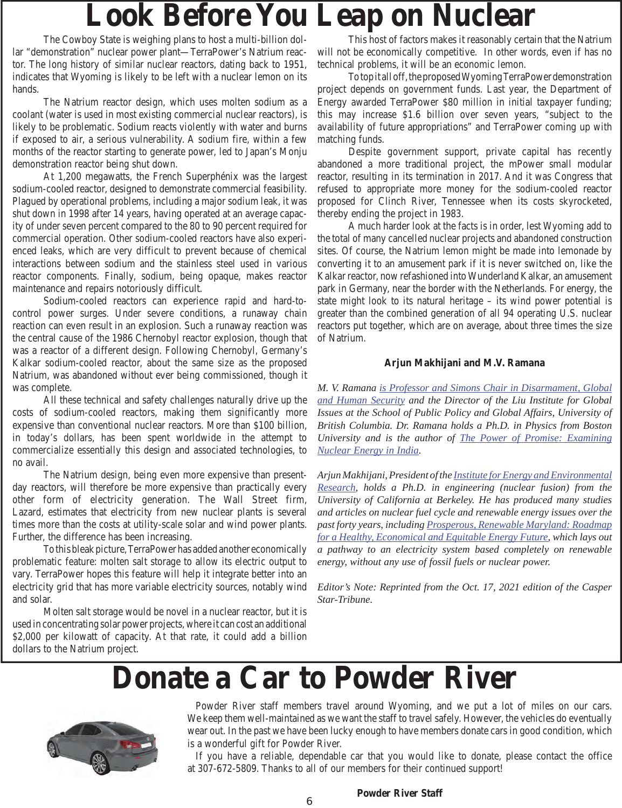## **Look Before You Leap on Nuclear**

The Cowboy State is weighing plans to host a multi-billion dollar "demonstration" nuclear power plant—TerraPower's Natrium reactor. The long history of similar nuclear reactors, dating back to 1951, indicates that Wyoming is likely to be left with a nuclear lemon on its hands.

 The Natrium reactor design, which uses molten sodium as a coolant (water is used in most existing commercial nuclear reactors), is likely to be problematic. Sodium reacts violently with water and burns if exposed to air, a serious vulnerability. A sodium fire, within a few months of the reactor starting to generate power, led to Japan's Monju demonstration reactor being shut down.

 At 1,200 megawatts, the French Superphénix was the largest sodium-cooled reactor, designed to demonstrate commercial feasibility. Plagued by operational problems, including a major sodium leak, it was shut down in 1998 after 14 years, having operated at an average capacity of under seven percent compared to the 80 to 90 percent required for commercial operation. Other sodium-cooled reactors have also experienced leaks, which are very difficult to prevent because of chemical interactions between sodium and the stainless steel used in various reactor components. Finally, sodium, being opaque, makes reactor maintenance and repairs notoriously difficult.

 Sodium-cooled reactors can experience rapid and hard-tocontrol power surges. Under severe conditions, a runaway chain reaction can even result in an explosion. Such a runaway reaction was the central cause of the 1986 Chernobyl reactor explosion, though that was a reactor of a different design. Following Chernobyl, Germany's Kalkar sodium-cooled reactor, about the same size as the proposed Natrium, was abandoned without ever being commissioned, though it was complete.

 All these technical and safety challenges naturally drive up the costs of sodium-cooled reactors, making them significantly more expensive than conventional nuclear reactors. More than \$100 billion, in today's dollars, has been spent worldwide in the attempt to commercialize essentially this design and associated technologies, to no avail.

 The Natrium design, being even more expensive than presentday reactors, will therefore be more expensive than practically every other form of electricity generation. The Wall Street firm, Lazard, estimates that electricity from new nuclear plants is several times more than the costs at utility-scale solar and wind power plants. Further, the difference has been increasing.

 To this bleak picture, TerraPower has added another economically problematic feature: molten salt storage to allow its electric output to vary. TerraPower hopes this feature will help it integrate better into an electricity grid that has more variable electricity sources, notably wind and solar.

 Molten salt storage would be novel in a nuclear reactor, but it is used in concentrating solar power projects, where it can cost an additional \$2,000 per kilowatt of capacity. At that rate, it could add a billion dollars to the Natrium project.

 This host of factors makes it reasonably certain that the Natrium will not be economically competitive. In other words, even if has no technical problems, it will be an economic lemon.

 To top it all off, the proposed Wyoming TerraPower demonstration project depends on government funds. Last year, the Department of Energy awarded TerraPower \$80 million in initial taxpayer funding; this may increase \$1.6 billion over seven years, "subject to the availability of future appropriations" and TerraPower coming up with matching funds.

 Despite government support, private capital has recently abandoned a more traditional project, the mPower small modular reactor, resulting in its termination in 2017. And it was Congress that refused to appropriate more money for the sodium-cooled reactor proposed for Clinch River, Tennessee when its costs skyrocketed, thereby ending the project in 1983.

 A much harder look at the facts is in order, lest Wyoming add to the total of many cancelled nuclear projects and abandoned construction sites. Of course, the Natrium lemon might be made into lemonade by converting it to an amusement park if it is never switched on, like the Kalkar reactor, now refashioned into Wunderland Kalkar, an amusement park in Germany, near the border with the Netherlands. For energy, the state might look to its natural heritage – its wind power potential is greater than the combined generation of all 94 operating U.S. nuclear reactors put together, which are on average, about three times the size of Natrium.

#### **Arjun Makhijani and M.V. Ramana**

*M. V. Ramana is Professor and Simons Chair in Disarmament, Global and Human Security and the Director of the Liu Institute for Global Issues at the School of Public Policy and Global Affairs, University of British Columbia. Dr. Ramana holds a Ph.D. in Physics from Boston University and is the author of The Power of Promise: Examining Nuclear Energy in India.*

*Arjun Makhijani, President of the Institute for Energy and Environmental Research, holds a Ph.D. in engineering (nuclear fusion) from the University of California at Berkeley. He has produced many studies and articles on nuclear fuel cycle and renewable energy issues over the past forty years, including Prosperous, Renewable Maryland: Roadmap for a Healthy, Economical and Equitable Energy Future, which lays out a pathway to an electricity system based completely on renewable energy, without any use of fossil fuels or nuclear power.*

*Editor's Note: Reprinted from the Oct. 17, 2021 edition of the Casper Star-Tribune.* 

### **Donate a Car to Powder River**



 Powder River staff members travel around Wyoming, and we put a lot of miles on our cars. We keep them well-maintained as we want the staff to travel safely. However, the vehicles do eventually wear out. In the past we have been lucky enough to have members donate cars in good condition, which is a wonderful gift for Powder River.

 If you have a reliable, dependable car that you would like to donate, please contact the office at 307-672-5809. Thanks to all of our members for their continued support!

#### **Powder River Staff**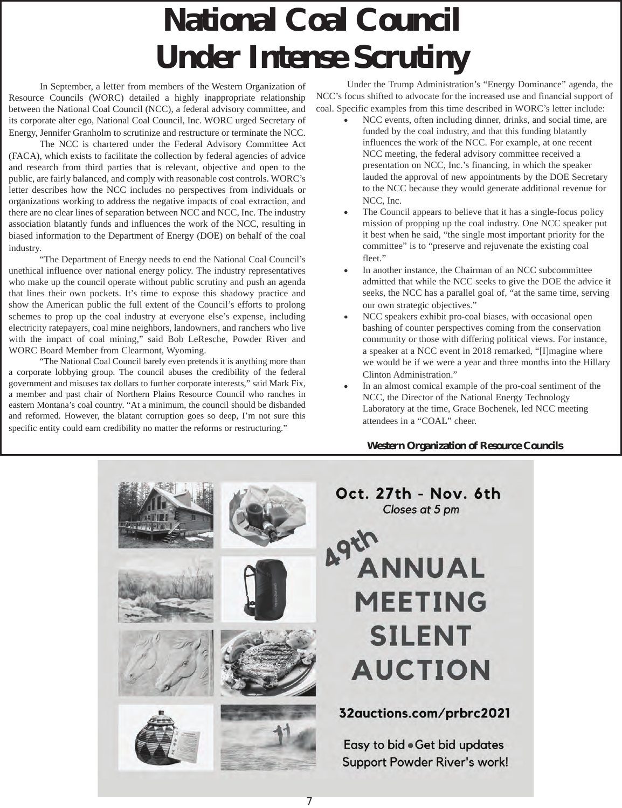# **National Coal Council Under Intense Scrutiny**

In September, a letter from members of the Western Organization of Resource Councils (WORC) detailed a highly inappropriate relationship between the National Coal Council (NCC), a federal advisory committee, and its corporate alter ego, National Coal Council, Inc. WORC urged Secretary of Energy, Jennifer Granholm to scrutinize and restructure or terminate the NCC.

 The NCC is chartered under the Federal Advisory Committee Act (FACA), which exists to facilitate the collection by federal agencies of advice and research from third parties that is relevant, objective and open to the public, are fairly balanced, and comply with reasonable cost controls. WORC's letter describes how the NCC includes no perspectives from individuals or organizations working to address the negative impacts of coal extraction, and there are no clear lines of separation between NCC and NCC, Inc. The industry association blatantly funds and influences the work of the NCC, resulting in biased information to the Department of Energy (DOE) on behalf of the coal industry.

 "The Department of Energy needs to end the National Coal Council's unethical influence over national energy policy. The industry representatives who make up the council operate without public scrutiny and push an agenda that lines their own pockets. It's time to expose this shadowy practice and show the American public the full extent of the Council's efforts to prolong schemes to prop up the coal industry at everyone else's expense, including electricity ratepayers, coal mine neighbors, landowners, and ranchers who live with the impact of coal mining," said Bob LeResche, Powder River and WORC Board Member from Clearmont, Wyoming.

 "The National Coal Council barely even pretends it is anything more than a corporate lobbying group. The council abuses the credibility of the federal government and misuses tax dollars to further corporate interests," said Mark Fix, a member and past chair of Northern Plains Resource Council who ranches in eastern Montana's coal country. "At a minimum, the council should be disbanded and reformed. However, the blatant corruption goes so deep, I'm not sure this specific entity could earn credibility no matter the reforms or restructuring."

 Under the Trump Administration's "Energy Dominance" agenda, the NCC's focus shifted to advocate for the increased use and financial support of coal. Specific examples from this time described in WORC's letter include:

- - NCC events, often including dinner, drinks, and social time, are funded by the coal industry, and that this funding blatantly influences the work of the NCC. For example, at one recent NCC meeting, the federal advisory committee received a presentation on NCC, Inc.'s financing, in which the speaker lauded the approval of new appointments by the DOE Secretary to the NCC because they would generate additional revenue for NCC, Inc.
- $\bullet$  The Council appears to believe that it has a single-focus policy mission of propping up the coal industry. One NCC speaker put it best when he said, "the single most important priority for the committee" is to "preserve and rejuvenate the existing coal fleet."
- $\bullet$  In another instance, the Chairman of an NCC subcommittee admitted that while the NCC seeks to give the DOE the advice it seeks, the NCC has a parallel goal of, "at the same time, serving our own strategic objectives."
- $\bullet$  NCC speakers exhibit pro-coal biases, with occasional open bashing of counter perspectives coming from the conservation community or those with differing political views. For instance, a speaker at a NCC event in 2018 remarked, "[I]magine where we would be if we were a year and three months into the Hillary Clinton Administration."
- - In an almost comical example of the pro-coal sentiment of the NCC, the Director of the National Energy Technology Laboratory at the time, Grace Bochenek, led NCC meeting attendees in a "COAL" cheer.

#### **Western Organization of Resource Councils**

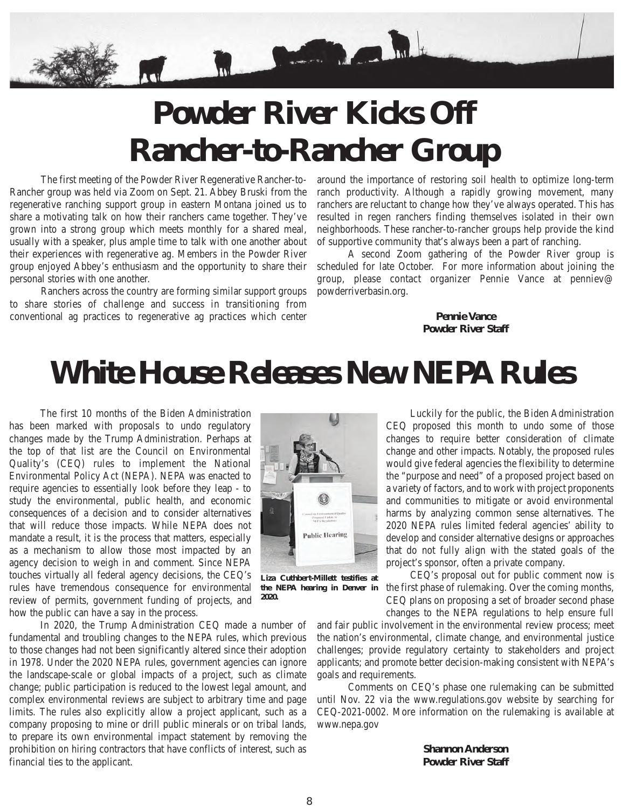

## **Powder River Kicks Off Rancher-to-Rancher Group**

 The first meeting of the Powder River Regenerative Rancher-to-Rancher group was held via Zoom on Sept. 21. Abbey Bruski from the regenerative ranching support group in eastern Montana joined us to share a motivating talk on how their ranchers came together. They've grown into a strong group which meets monthly for a shared meal, usually with a speaker, plus ample time to talk with one another about their experiences with regenerative ag. Members in the Powder River group enjoyed Abbey's enthusiasm and the opportunity to share their personal stories with one another.

 Ranchers across the country are forming similar support groups to share stories of challenge and success in transitioning from conventional ag practices to regenerative ag practices which center

around the importance of restoring soil health to optimize long-term ranch productivity. Although a rapidly growing movement, many ranchers are reluctant to change how they've always operated. This has resulted in regen ranchers finding themselves isolated in their own neighborhoods. These rancher-to-rancher groups help provide the kind of supportive community that's always been a part of ranching.

 A second Zoom gathering of the Powder River group is scheduled for late October. For more information about joining the group, please contact organizer Pennie Vance at penniev@ powderriverbasin.org.

> **Pennie Vance Powder River Staff**

### **White House Releases New NEPA Rules**

 The first 10 months of the Biden Administration has been marked with proposals to undo regulatory changes made by the Trump Administration. Perhaps at the top of that list are the Council on Environmental Quality's (CEQ) rules to implement the National Environmental Policy Act (NEPA). NEPA was enacted to require agencies to essentially look before they leap - to study the environmental, public health, and economic consequences of a decision and to consider alternatives that will reduce those impacts. While NEPA does not mandate a result, it is the process that matters, especially as a mechanism to allow those most impacted by an agency decision to weigh in and comment. Since NEPA touches virtually all federal agency decisions, the CEQ's rules have tremendous consequence for environmental review of permits, government funding of projects, and how the public can have a say in the process.

 In 2020, the Trump Administration CEQ made a number of fundamental and troubling changes to the NEPA rules, which previous to those changes had not been significantly altered since their adoption in 1978. Under the 2020 NEPA rules, government agencies can ignore the landscape-scale or global impacts of a project, such as climate change; public participation is reduced to the lowest legal amount, and complex environmental reviews are subject to arbitrary time and page limits. The rules also explicitly allow a project applicant, such as a company proposing to mine or drill public minerals or on tribal lands, to prepare its own environmental impact statement by removing the prohibition on hiring contractors that have conflicts of interest, such as financial ties to the applicant.



**Liza Cuthbert-Millett testifies at the NEPA hearing in Denver in 2020.**

 Luckily for the public, the Biden Administration CEQ proposed this month to undo some of those changes to require better consideration of climate change and other impacts. Notably, the proposed rules would give federal agencies the flexibility to determine the "purpose and need" of a proposed project based on a variety of factors, and to work with project proponents and communities to mitigate or avoid environmental harms by analyzing common sense alternatives. The 2020 NEPA rules limited federal agencies' ability to develop and consider alternative designs or approaches that do not fully align with the stated goals of the project's sponsor, often a private company.

 CEQ's proposal out for public comment now is the first phase of rulemaking. Over the coming months, CEQ plans on proposing a set of broader second phase changes to the NEPA regulations to help ensure full

and fair public involvement in the environmental review process; meet the nation's environmental, climate change, and environmental justice challenges; provide regulatory certainty to stakeholders and project applicants; and promote better decision-making consistent with NEPA's goals and requirements.

 Comments on CEQ's phase one rulemaking can be submitted until Nov. 22 via the www.regulations.gov website by searching for CEQ-2021-0002. More information on the rulemaking is available at www.nepa.gov

> **Shannon Anderson Powder River Staff**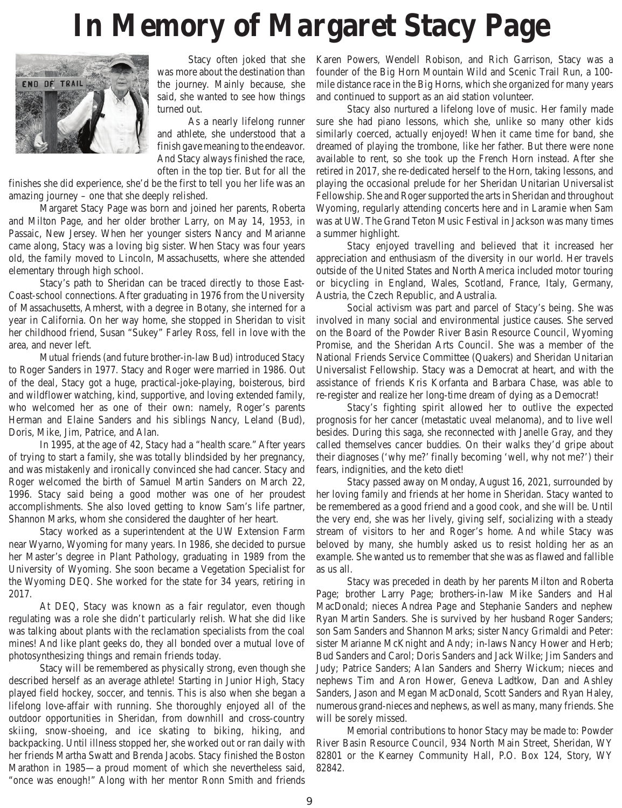## **In Memory of Margaret Stacy Page**



Stacy often joked that she was more about the destination than the journey. Mainly because, she said, she wanted to see how things turned out.

As a nearly lifelong runner and athlete, she understood that a finish gave meaning to the endeavor. And Stacy always finished the race, often in the top tier. But for all the

finishes she did experience, she'd be the first to tell you her life was an amazing journey – one that she deeply relished.

Margaret Stacy Page was born and joined her parents, Roberta and Milton Page, and her older brother Larry, on May 14, 1953, in Passaic, New Jersey. When her younger sisters Nancy and Marianne came along, Stacy was a loving big sister. When Stacy was four years old, the family moved to Lincoln, Massachusetts, where she attended elementary through high school.

Stacy's path to Sheridan can be traced directly to those East-Coast-school connections. After graduating in 1976 from the University of Massachusetts, Amherst, with a degree in Botany, she interned for a year in California. On her way home, she stopped in Sheridan to visit her childhood friend, Susan "Sukey" Farley Ross, fell in love with the area, and never left.

Mutual friends (and future brother-in-law Bud) introduced Stacy to Roger Sanders in 1977. Stacy and Roger were married in 1986. Out of the deal, Stacy got a huge, practical-joke-playing, boisterous, bird and wildflower watching, kind, supportive, and loving extended family, who welcomed her as one of their own: namely, Roger's parents Herman and Elaine Sanders and his siblings Nancy, Leland (Bud), Doris, Mike, Jim, Patrice, and Alan.

In 1995, at the age of 42, Stacy had a "health scare." After years of trying to start a family, she was totally blindsided by her pregnancy, and was mistakenly and ironically convinced she had cancer. Stacy and Roger welcomed the birth of Samuel Martin Sanders on March 22, 1996. Stacy said being a good mother was one of her proudest accomplishments. She also loved getting to know Sam's life partner, Shannon Marks, whom she considered the daughter of her heart.

Stacy worked as a superintendent at the UW Extension Farm near Wyarno, Wyoming for many years. In 1986, she decided to pursue her Master's degree in Plant Pathology, graduating in 1989 from the University of Wyoming. She soon became a Vegetation Specialist for the Wyoming DEQ. She worked for the state for 34 years, retiring in 2017.

At DEQ, Stacy was known as a fair regulator, even though regulating was a role she didn't particularly relish. What she did like was talking about plants with the reclamation specialists from the coal mines! And like plant geeks do, they all bonded over a mutual love of photosynthesizing things and remain friends today.

Stacy will be remembered as physically strong, even though she described herself as an average athlete! Starting in Junior High, Stacy played field hockey, soccer, and tennis. This is also when she began a lifelong love-affair with running. She thoroughly enjoyed all of the outdoor opportunities in Sheridan, from downhill and cross-country skiing, snow-shoeing, and ice skating to biking, hiking, and backpacking. Until illness stopped her, she worked out or ran daily with her friends Martha Swatt and Brenda Jacobs. Stacy finished the Boston Marathon in 1985—a proud moment of which she nevertheless said, "once was enough!" Along with her mentor Ronn Smith and friends

Karen Powers, Wendell Robison, and Rich Garrison, Stacy was a founder of the Big Horn Mountain Wild and Scenic Trail Run, a 100 mile distance race in the Big Horns, which she organized for many years and continued to support as an aid station volunteer.

Stacy also nurtured a lifelong love of music. Her family made sure she had piano lessons, which she, unlike so many other kids similarly coerced, actually enjoyed! When it came time for band, she dreamed of playing the trombone, like her father. But there were none available to rent, so she took up the French Horn instead. After she retired in 2017, she re-dedicated herself to the Horn, taking lessons, and playing the occasional prelude for her Sheridan Unitarian Universalist Fellowship. She and Roger supported the arts in Sheridan and throughout Wyoming, regularly attending concerts here and in Laramie when Sam was at UW. The Grand Teton Music Festival in Jackson was many times a summer highlight.

Stacy enjoyed travelling and believed that it increased her appreciation and enthusiasm of the diversity in our world. Her travels outside of the United States and North America included motor touring or bicycling in England, Wales, Scotland, France, Italy, Germany, Austria, the Czech Republic, and Australia.

Social activism was part and parcel of Stacy's being. She was involved in many social and environmental justice causes. She served on the Board of the Powder River Basin Resource Council, Wyoming Promise, and the Sheridan Arts Council. She was a member of the National Friends Service Committee (Quakers) and Sheridan Unitarian Universalist Fellowship. Stacy was a Democrat at heart, and with the assistance of friends Kris Korfanta and Barbara Chase, was able to re-register and realize her long-time dream of dying as a Democrat!

Stacy's fighting spirit allowed her to outlive the expected prognosis for her cancer (metastatic uveal melanoma), and to live well besides. During this saga, she reconnected with Janelle Gray, and they called themselves cancer buddies. On their walks they'd gripe about their diagnoses ('why me?' finally becoming 'well, why not me?') their fears, indignities, and the keto diet!

Stacy passed away on Monday, August 16, 2021, surrounded by her loving family and friends at her home in Sheridan. Stacy wanted to be remembered as a good friend and a good cook, and she will be. Until the very end, she was her lively, giving self, socializing with a steady stream of visitors to her and Roger's home. And while Stacy was beloved by many, she humbly asked us to resist holding her as an example. She wanted us to remember that she was as flawed and fallible as us all.

Stacy was preceded in death by her parents Milton and Roberta Page; brother Larry Page; brothers-in-law Mike Sanders and Hal MacDonald; nieces Andrea Page and Stephanie Sanders and nephew Ryan Martin Sanders. She is survived by her husband Roger Sanders; son Sam Sanders and Shannon Marks; sister Nancy Grimaldi and Peter: sister Marianne McKnight and Andy; in-laws Nancy Hower and Herb; Bud Sanders and Carol; Doris Sanders and Jack Wilke; Jim Sanders and Judy; Patrice Sanders; Alan Sanders and Sherry Wickum; nieces and nephews Tim and Aron Hower, Geneva Ladtkow, Dan and Ashley Sanders, Jason and Megan MacDonald, Scott Sanders and Ryan Haley, numerous grand-nieces and nephews, as well as many, many friends. She will be sorely missed.

Memorial contributions to honor Stacy may be made to: Powder River Basin Resource Council, 934 North Main Street, Sheridan, WY 82801 or the Kearney Community Hall, P.O. Box 124, Story, WY 82842.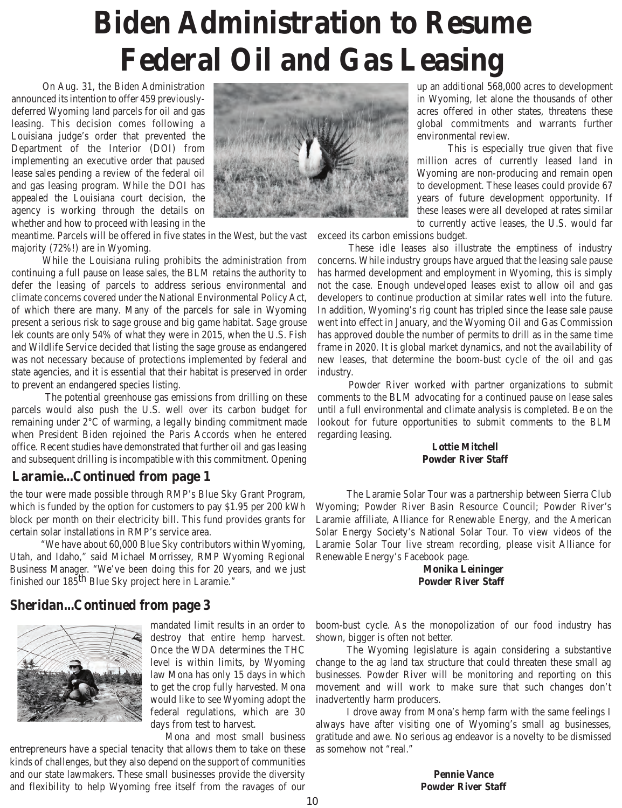## **Biden Administration to Resume Federal Oil and Gas Leasing**

On Aug. 31, the Biden Administration announced its intention to offer 459 previouslydeferred Wyoming land parcels for oil and gas leasing. This decision comes following a Louisiana judge's order that prevented the Department of the Interior (DOI) from implementing an executive order that paused lease sales pending a review of the federal oil and gas leasing program. While the DOI has appealed the Louisiana court decision, the agency is working through the details on whether and how to proceed with leasing in the



meantime. Parcels will be offered in five states in the West, but the vast majority (72%!) are in Wyoming.

While the Louisiana ruling prohibits the administration from continuing a full pause on lease sales, the BLM retains the authority to defer the leasing of parcels to address serious environmental and climate concerns covered under the National Environmental Policy Act, of which there are many. Many of the parcels for sale in Wyoming present a serious risk to sage grouse and big game habitat. Sage grouse lek counts are only 54% of what they were in 2015, when the U.S. Fish and Wildlife Service decided that listing the sage grouse as endangered was not necessary because of protections implemented by federal and state agencies, and it is essential that their habitat is preserved in order to prevent an endangered species listing.

 The potential greenhouse gas emissions from drilling on these parcels would also push the U.S. well over its carbon budget for remaining under 2°C of warming, a legally binding commitment made when President Biden rejoined the Paris Accords when he entered office. Recent studies have demonstrated that further oil and gas leasing and subsequent drilling is incompatible with this commitment. Opening

### **Laramie...Continued from page 1**

the tour were made possible through RMP's Blue Sky Grant Program, which is funded by the option for customers to pay \$1.95 per 200 kWh block per month on their electricity bill. This fund provides grants for certain solar installations in RMP's service area.

"We have about 60,000 Blue Sky contributors within Wyoming, Utah, and Idaho," said Michael Morrissey, RMP Wyoming Regional Business Manager. "We've been doing this for 20 years, and we just finished our 185<sup>th</sup> Blue Sky project here in Laramie."

### **Sheridan...Continued from page 3**



mandated limit results in an order to destroy that entire hemp harvest. Once the WDA determines the THC level is within limits, by Wyoming law Mona has only 15 days in which to get the crop fully harvested. Mona would like to see Wyoming adopt the federal regulations, which are 30 days from test to harvest.

Mona and most small business

entrepreneurs have a special tenacity that allows them to take on these kinds of challenges, but they also depend on the support of communities and our state lawmakers. These small businesses provide the diversity and flexibility to help Wyoming free itself from the ravages of our

up an additional 568,000 acres to development in Wyoming, let alone the thousands of other acres offered in other states, threatens these global commitments and warrants further environmental review.

This is especially true given that five million acres of currently leased land in Wyoming are non-producing and remain open to development. These leases could provide 67 years of future development opportunity. If these leases were all developed at rates similar to currently active leases, the U.S. would far

exceed its carbon emissions budget.

These idle leases also illustrate the emptiness of industry concerns. While industry groups have argued that the leasing sale pause has harmed development and employment in Wyoming, this is simply not the case. Enough undeveloped leases exist to allow oil and gas developers to continue production at similar rates well into the future. In addition, Wyoming's rig count has tripled since the lease sale pause went into effect in January, and the Wyoming Oil and Gas Commission has approved double the number of permits to drill as in the same time frame in 2020. It is global market dynamics, and not the availability of new leases, that determine the boom-bust cycle of the oil and gas industry.

Powder River worked with partner organizations to submit comments to the BLM advocating for a continued pause on lease sales until a full environmental and climate analysis is completed. Be on the lookout for future opportunities to submit comments to the BLM regarding leasing.

#### **Lottie Mitchell Powder River Staff**

The Laramie Solar Tour was a partnership between Sierra Club Wyoming; Powder River Basin Resource Council; Powder River's Laramie affiliate, Alliance for Renewable Energy, and the American Solar Energy Society's National Solar Tour. To view videos of the Laramie Solar Tour live stream recording, please visit Alliance for Renewable Energy's Facebook page.

#### **Monika Leininger Powder River Staff**

boom-bust cycle. As the monopolization of our food industry has shown, bigger is often not better.

 The Wyoming legislature is again considering a substantive change to the ag land tax structure that could threaten these small ag businesses. Powder River will be monitoring and reporting on this movement and will work to make sure that such changes don't inadvertently harm producers.

 I drove away from Mona's hemp farm with the same feelings I always have after visiting one of Wyoming's small ag businesses, gratitude and awe. No serious ag endeavor is a novelty to be dismissed as somehow not "real."

> **Pennie Vance Powder River Staff**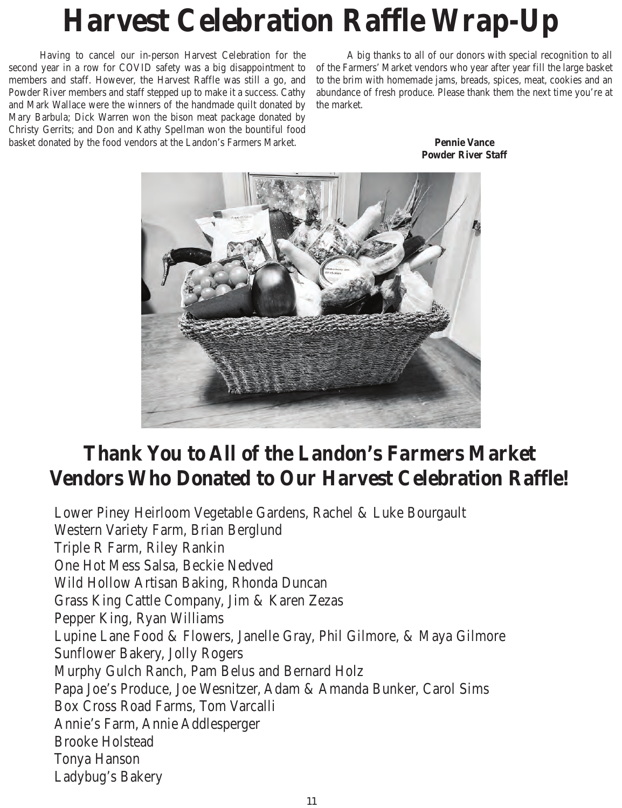## **Harvest Celebration Raffle Wrap-Up**

 Having to cancel our in-person Harvest Celebration for the second year in a row for COVID safety was a big disappointment to members and staff. However, the Harvest Raffle was still a go, and Powder River members and staff stepped up to make it a success. Cathy and Mark Wallace were the winners of the handmade quilt donated by Mary Barbula; Dick Warren won the bison meat package donated by Christy Gerrits; and Don and Kathy Spellman won the bountiful food basket donated by the food vendors at the Landon's Farmers Market.

 A big thanks to all of our donors with special recognition to all of the Farmers' Market vendors who year after year fill the large basket to the brim with homemade jams, breads, spices, meat, cookies and an abundance of fresh produce. Please thank them the next time you're at the market.





### **Thank You to All of the Landon's Farmers Market Vendors Who Donated to Our Harvest Celebration Raffle!**

Lower Piney Heirloom Vegetable Gardens, Rachel & Luke Bourgault Western Variety Farm, Brian Berglund Triple R Farm, Riley Rankin One Hot Mess Salsa, Beckie Nedved Wild Hollow Artisan Baking, Rhonda Duncan Grass King Cattle Company, Jim & Karen Zezas Pepper King, Ryan Williams Lupine Lane Food & Flowers, Janelle Gray, Phil Gilmore, & Maya Gilmore Sunflower Bakery, Jolly Rogers Murphy Gulch Ranch, Pam Belus and Bernard Holz Papa Joe's Produce, Joe Wesnitzer, Adam & Amanda Bunker, Carol Sims Box Cross Road Farms, Tom Varcalli Annie's Farm, Annie Addlesperger Brooke Holstead Tonya Hanson Ladybug's Bakery